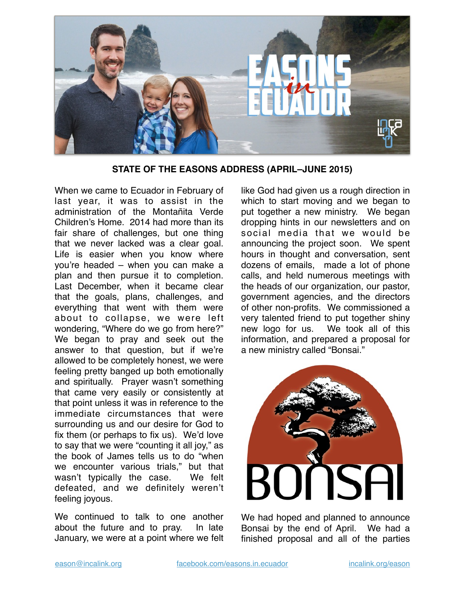

**STATE OF THE EASONS ADDRESS (APRIL–JUNE 2015)**

When we came to Ecuador in February of last year, it was to assist in the administration of the Montañita Verde Children's Home. 2014 had more than its fair share of challenges, but one thing that we never lacked was a clear goal. Life is easier when you know where you're headed – when you can make a plan and then pursue it to completion. Last December, when it became clear that the goals, plans, challenges, and everything that went with them were about to collapse, we were left wondering, "Where do we go from here?" We began to pray and seek out the answer to that question, but if we're allowed to be completely honest, we were feeling pretty banged up both emotionally and spiritually. Prayer wasn't something that came very easily or consistently at that point unless it was in reference to the immediate circumstances that were surrounding us and our desire for God to fix them (or perhaps to fix us). We'd love to say that we were "counting it all joy," as the book of James tells us to do "when we encounter various trials," but that wasn't typically the case. We felt defeated, and we definitely weren't feeling joyous.

We continued to talk to one another about the future and to pray. In late January, we were at a point where we felt

like God had given us a rough direction in which to start moving and we began to put together a new ministry. We began dropping hints in our newsletters and on social media that we would be announcing the project soon. We spent hours in thought and conversation, sent dozens of emails, made a lot of phone calls, and held numerous meetings with the heads of our organization, our pastor, government agencies, and the directors of other non-profits. We commissioned a very talented friend to put together shiny new logo for us. We took all of this information, and prepared a proposal for a new ministry called "Bonsai."



We had hoped and planned to announce Bonsai by the end of April. We had a finished proposal and all of the parties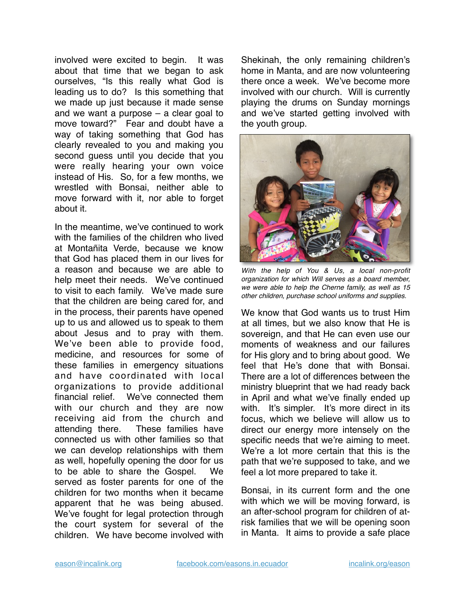involved were excited to begin. It was about that time that we began to ask ourselves, "Is this really what God is leading us to do? Is this something that we made up just because it made sense and we want a purpose – a clear goal to move toward?" Fear and doubt have a way of taking something that God has clearly revealed to you and making you second guess until you decide that you were really hearing your own voice instead of His. So, for a few months, we wrestled with Bonsai, neither able to move forward with it, nor able to forget about it.

In the meantime, we've continued to work with the families of the children who lived at Montañita Verde, because we know that God has placed them in our lives for a reason and because we are able to help meet their needs. We've continued to visit to each family. We've made sure that the children are being cared for, and in the process, their parents have opened up to us and allowed us to speak to them about Jesus and to pray with them. We've been able to provide food, medicine, and resources for some of these families in emergency situations and have coordinated with local organizations to provide additional financial relief. We've connected them with our church and they are now receiving aid from the church and attending there. These families have connected us with other families so that we can develop relationships with them as well, hopefully opening the door for us to be able to share the Gospel. We served as foster parents for one of the children for two months when it became apparent that he was being abused. We've fought for legal protection through the court system for several of the children. We have become involved with

Shekinah, the only remaining children's home in Manta, and are now volunteering there once a week. We've become more involved with our church. Will is currently playing the drums on Sunday mornings and we've started getting involved with the youth group.



*With the help of You & Us, a local non-profit organization for which Will serves as a board member, we were able to help the Cherne family, as well as 15 other children, purchase school uniforms and supplies.*

We know that God wants us to trust Him at all times, but we also know that He is sovereign, and that He can even use our moments of weakness and our failures for His glory and to bring about good. We feel that He's done that with Bonsai. There are a lot of differences between the ministry blueprint that we had ready back in April and what we've finally ended up with. It's simpler. It's more direct in its focus, which we believe will allow us to direct our energy more intensely on the specific needs that we're aiming to meet. We're a lot more certain that this is the path that we're supposed to take, and we feel a lot more prepared to take it.

Bonsai, in its current form and the one with which we will be moving forward, is an after-school program for children of atrisk families that we will be opening soon in Manta. It aims to provide a safe place